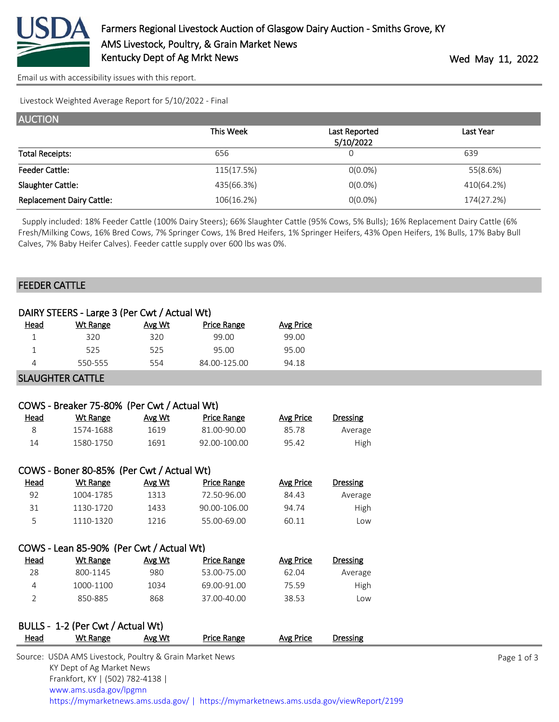

[Email us with accessibility issues with this report.](mailto:mars@ams.usda.gov?subject=508%20issue)

Livestock Weighted Average Report for 5/10/2022 - Final

| <b>AUCTION</b>                   |            |               |            |
|----------------------------------|------------|---------------|------------|
|                                  | This Week  | Last Reported | Last Year  |
|                                  |            | 5/10/2022     |            |
| <b>Total Receipts:</b>           | 656        | 0             | 639        |
| <b>Feeder Cattle:</b>            | 115(17.5%) | $O(0.0\%)$    | 55(8.6%)   |
| Slaughter Cattle:                | 435(66.3%) | $0(0.0\%)$    | 410(64.2%) |
| <b>Replacement Dairy Cattle:</b> | 106(16.2%) | $O(0.0\%)$    | 174(27.2%) |

 Supply included: 18% Feeder Cattle (100% Dairy Steers); 66% Slaughter Cattle (95% Cows, 5% Bulls); 16% Replacement Dairy Cattle (6% Fresh/Milking Cows, 16% Bred Cows, 7% Springer Cows, 1% Bred Heifers, 1% Springer Heifers, 43% Open Heifers, 1% Bulls, 17% Baby Bull Calves, 7% Baby Heifer Calves). Feeder cattle supply over 600 lbs was 0%.

## FEEDER CATTLE

|                | DAIRY STEERS - Large 3 (Per Cwt / Actual Wt)            |        |                    |                  |                 |             |
|----------------|---------------------------------------------------------|--------|--------------------|------------------|-----------------|-------------|
| <b>Head</b>    | <b>Wt Range</b>                                         | Avg Wt | <b>Price Range</b> | <b>Avg Price</b> |                 |             |
| $\mathbf 1$    | 320                                                     | 320    | 99.00              | 99.00            |                 |             |
| 1              | 525                                                     | 525    | 95.00              | 95.00            |                 |             |
| 4              | 550-555                                                 | 554    | 84.00-125.00       | 94.18            |                 |             |
|                | <b>SLAUGHTER CATTLE</b>                                 |        |                    |                  |                 |             |
|                |                                                         |        |                    |                  |                 |             |
|                | COWS - Breaker 75-80% (Per Cwt / Actual Wt)             |        |                    |                  |                 |             |
| <b>Head</b>    | <b>Wt Range</b>                                         | Avg Wt | <b>Price Range</b> | <b>Avg Price</b> | <b>Dressing</b> |             |
| 8              | 1574-1688                                               | 1619   | 81.00-90.00        | 85.78            | Average         |             |
| 14             | 1580-1750                                               | 1691   | 92.00-100.00       | 95.42            | High            |             |
|                | COWS - Boner 80-85% (Per Cwt / Actual Wt)               |        |                    |                  |                 |             |
| <u>Head</u>    | <b>Wt Range</b>                                         | Avg Wt | <b>Price Range</b> | <b>Avg Price</b> | <b>Dressing</b> |             |
| 92             | 1004-1785                                               | 1313   | 72.50-96.00        | 84.43            | Average         |             |
| 31             | 1130-1720                                               | 1433   | 90.00-106.00       | 94.74            | High            |             |
| 5              | 1110-1320                                               | 1216   | 55.00-69.00        | 60.11            | Low             |             |
|                | COWS - Lean 85-90% (Per Cwt / Actual Wt)                |        |                    |                  |                 |             |
| Head           | <b>Wt Range</b>                                         | Avg Wt | <b>Price Range</b> | <b>Avg Price</b> | <b>Dressing</b> |             |
| 28             | 800-1145                                                | 980    | 53.00-75.00        | 62.04            | Average         |             |
| 4              | 1000-1100                                               | 1034   | 69.00-91.00        | 75.59            | High            |             |
| $\overline{2}$ | 850-885                                                 | 868    | 37.00-40.00        | 38.53            | Low             |             |
|                | BULLS - 1-2 (Per Cwt / Actual Wt)                       |        |                    |                  |                 |             |
| <b>Head</b>    | Wt Range                                                | Avg Wt | <b>Price Range</b> | <b>Avg Price</b> | <b>Dressing</b> |             |
|                | Source: USDA AMS Livestock, Poultry & Grain Market News |        |                    |                  |                 | Page 1 of 3 |
|                | KY Dept of Ag Market News                               |        |                    |                  |                 |             |
|                | Frankfort, KY   (502) 782-4138                          |        |                    |                  |                 |             |
|                | www.ams.usda.gov/lpgmn                                  |        |                    |                  |                 |             |

<https://mymarketnews.ams.usda.gov/> [|](https://www.ams.usda.gov/market-news) <https://mymarketnews.ams.usda.gov/viewReport/2199>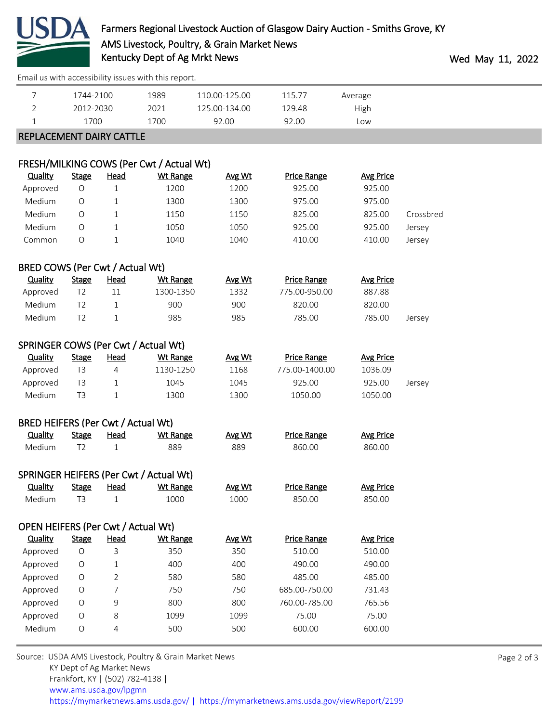

[Email us with accessibility issues with this report.](mailto:mars@ams.usda.gov?subject=508%20issue)

|                                           | 1744-2100      |                                | 1989                                                        | 110.00-125.00 | 115.77             | Average          |           |             |
|-------------------------------------------|----------------|--------------------------------|-------------------------------------------------------------|---------------|--------------------|------------------|-----------|-------------|
| $\overline{2}$                            | 2012-2030      |                                | 2021                                                        | 125.00-134.00 | 129.48             | High             |           |             |
| 1                                         | 1700           |                                | 1700                                                        | 92.00         | 92.00              | Low              |           |             |
| REPLACEMENT DAIRY CATTLE                  |                |                                |                                                             |               |                    |                  |           |             |
|                                           |                |                                |                                                             |               |                    |                  |           |             |
| <b>Quality</b>                            | <b>Stage</b>   | <b>Head</b>                    | FRESH/MILKING COWS (Per Cwt / Actual Wt)<br><b>Wt Range</b> | Avg Wt        | <b>Price Range</b> | <b>Avg Price</b> |           |             |
| Approved                                  | $\bigcirc$     | $\mathbf{1}$                   | 1200                                                        | 1200          | 925.00             | 925.00           |           |             |
| Medium                                    | O              | 1                              | 1300                                                        | 1300          | 975.00             | 975.00           |           |             |
| Medium                                    | $\circ$        | 1                              | 1150                                                        | 1150          | 825.00             | 825.00           | Crossbred |             |
| Medium                                    | O              | 1                              | 1050                                                        | 1050          | 925.00             | 925.00           | Jersey    |             |
| Common                                    | O              | $\mathbf 1$                    | 1040                                                        | 1040          | 410.00             | 410.00           | Jersey    |             |
|                                           |                |                                |                                                             |               |                    |                  |           |             |
| BRED COWS (Per Cwt / Actual Wt)           |                |                                |                                                             |               |                    |                  |           |             |
| <b>Quality</b>                            | <b>Stage</b>   | <b>Head</b>                    | <b>Wt Range</b>                                             | Avg Wt        | <b>Price Range</b> | <b>Avg Price</b> |           |             |
| Approved                                  | T <sub>2</sub> | 11                             | 1300-1350                                                   | 1332          | 775.00-950.00      | 887.88           |           |             |
| Medium                                    | T <sub>2</sub> | 1                              | 900                                                         | 900           | 820.00             | 820.00           |           |             |
| Medium                                    | T <sub>2</sub> | 1                              | 985                                                         | 985           | 785.00             | 785.00           | Jersey    |             |
| SPRINGER COWS (Per Cwt / Actual Wt)       |                |                                |                                                             |               |                    |                  |           |             |
| <b>Quality</b>                            | <b>Stage</b>   | <b>Head</b>                    | <b>Wt Range</b>                                             | Avg Wt        | <b>Price Range</b> | <b>Avg Price</b> |           |             |
| Approved                                  | T <sub>3</sub> | 4                              | 1130-1250                                                   | 1168          | 775.00-1400.00     | 1036.09          |           |             |
| Approved                                  | T <sub>3</sub> | 1                              | 1045                                                        | 1045          | 925.00             | 925.00           | Jersey    |             |
| Medium                                    | T <sub>3</sub> | 1                              | 1300                                                        | 1300          | 1050.00            | 1050.00          |           |             |
|                                           |                |                                |                                                             |               |                    |                  |           |             |
| BRED HEIFERS (Per Cwt / Actual Wt)        |                |                                |                                                             |               |                    |                  |           |             |
| <b>Quality</b>                            | <b>Stage</b>   | Head                           | <b>Wt Range</b>                                             | Avg Wt        | <b>Price Range</b> | <b>Avg Price</b> |           |             |
| Medium                                    | T <sub>2</sub> | 1                              | 889                                                         | 889           | 860.00             | 860.00           |           |             |
|                                           |                |                                | SPRINGER HEIFERS (Per Cwt / Actual Wt)                      |               |                    |                  |           |             |
| <b>Quality</b>                            | <b>Stage</b>   | <b>Head</b>                    | <b>Wt Range</b>                                             | Avg Wt        | <b>Price Range</b> | <b>Avg Price</b> |           |             |
| Medium                                    | T <sub>3</sub> | $\mathbf{1}$                   | 1000                                                        | 1000          | 850.00             | 850.00           |           |             |
| <b>OPEN HEIFERS (Per Cwt / Actual Wt)</b> |                |                                |                                                             |               |                    |                  |           |             |
| <b>Quality</b>                            | <b>Stage</b>   | Head                           | <b>Wt Range</b>                                             | Avg Wt        | <b>Price Range</b> | <b>Avg Price</b> |           |             |
| Approved                                  | $\circ$        | 3                              | 350                                                         | 350           | 510.00             | 510.00           |           |             |
| Approved                                  | O              | 1                              | 400                                                         | 400           | 490.00             | 490.00           |           |             |
| Approved                                  | O              | 2                              | 580                                                         | 580           | 485.00             | 485.00           |           |             |
| Approved                                  | O              | 7                              | 750                                                         | 750           | 685.00-750.00      | 731.43           |           |             |
| Approved                                  | O              | 9                              | 800                                                         | 800           | 760.00-785.00      | 765.56           |           |             |
| Approved                                  | O              | 8                              | 1099                                                        | 1099          | 75.00              | 75.00            |           |             |
| Medium                                    | $\circ$        | 4                              | 500                                                         | 500           | 600.00             | 600.00           |           |             |
|                                           |                |                                |                                                             |               |                    |                  |           |             |
|                                           |                |                                | Source: USDA AMS Livestock, Poultry & Grain Market News     |               |                    |                  |           | Page 2 of 3 |
|                                           |                | KY Dept of Ag Market News      |                                                             |               |                    |                  |           |             |
|                                           |                | Frankfort, KY   (502) 782-4138 |                                                             |               |                    |                  |           |             |
|                                           |                | www.ams.usda.gov/lpgmn         |                                                             |               |                    |                  |           |             |